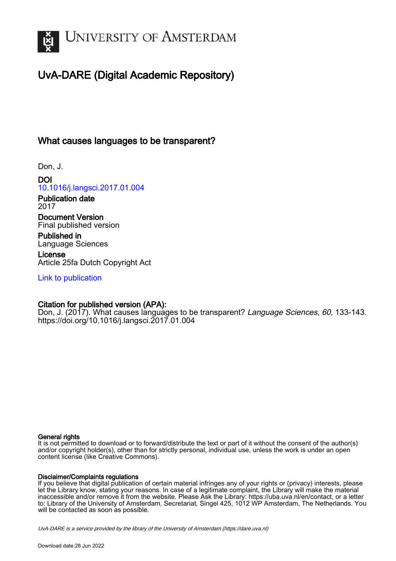

# UvA-DARE (Digital Academic Repository)

## What causes languages to be transparent?

Don, J.

DOI [10.1016/j.langsci.2017.01.004](https://doi.org/10.1016/j.langsci.2017.01.004)

Publication date 2017

Document Version Final published version

Published in Language Sciences

License Article 25fa Dutch Copyright Act

[Link to publication](https://dare.uva.nl/personal/pure/en/publications/what-causes-languages-to-be-transparent(f08b22c4-1c82-4de6-8c2c-63ffd6980fd8).html)

## Citation for published version (APA):

Don, J. (2017). What causes languages to be transparent? Language Sciences, 60, 133-143. <https://doi.org/10.1016/j.langsci.2017.01.004>

## General rights

It is not permitted to download or to forward/distribute the text or part of it without the consent of the author(s) and/or copyright holder(s), other than for strictly personal, individual use, unless the work is under an open content license (like Creative Commons).

## Disclaimer/Complaints regulations

If you believe that digital publication of certain material infringes any of your rights or (privacy) interests, please let the Library know, stating your reasons. In case of a legitimate complaint, the Library will make the material inaccessible and/or remove it from the website. Please Ask the Library: https://uba.uva.nl/en/contact, or a letter to: Library of the University of Amsterdam, Secretariat, Singel 425, 1012 WP Amsterdam, The Netherlands. You will be contacted as soon as possible.

UvA-DARE is a service provided by the library of the University of Amsterdam (http*s*://dare.uva.nl)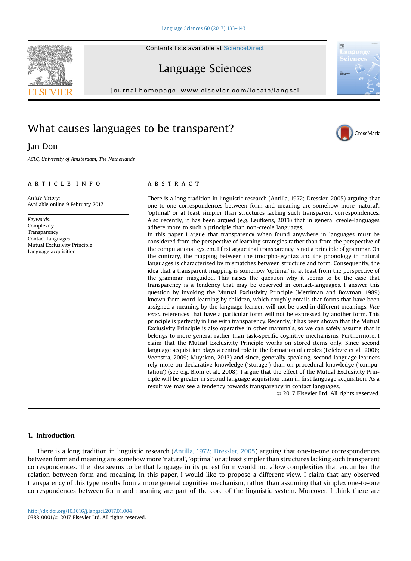# Language Sciences

journal homepage: [www.elsevier.com/locate/langsci](http://www.elsevier.com/locate/langcom)

# What causes languages to be transparent?

## Jan Don

ACLC, University of Amsterdam, The Netherlands

## article info

Article history: Available online 9 February 2017

Keywords: Complexity Transparency Contact-languages Mutual Exclusivity Principle Language acquisition

## **ABSTRACT**

There is a long tradition in linguistic research (Antilla, 1972; Dressler, 2005) arguing that one-to-one correspondences between form and meaning are somehow more 'natural', 'optimal' or at least simpler than structures lacking such transparent correspondences. Also recently, it has been argued (e.g. Leufkens, 2013) that in general creole-languages adhere more to such a principle than non-creole languages.

In this paper I argue that transparency when found anywhere in languages must be considered from the perspective of learning strategies rather than from the perspective of the computational system. I first argue that transparency is not a principle of grammar. On the contrary, the mapping between the (morpho-)syntax and the phonology in natural languages is characterized by mismatches between structure and form. Consequently, the idea that a transparent mapping is somehow 'optimal' is, at least from the perspective of the grammar, misguided. This raises the question why it seems to be the case that transparency is a tendency that may be observed in contact-languages. I answer this question by invoking the Mutual Exclusivity Principle (Merriman and Bowman, 1989) known from word-learning by children, which roughly entails that forms that have been assigned a meaning by the language learner, will not be used in different meanings. Vice versa references that have a particular form will not be expressed by another form. This principle is perfectly in line with transparency. Recently, it has been shown that the Mutual Exclusivity Principle is also operative in other mammals, so we can safely assume that it belongs to more general rather than task-specific cognitive mechanisms. Furthermore, I claim that the Mutual Exclusivity Principle works on stored items only. Since second language acquisition plays a central role in the formation of creoles (Lefebvre et al., 2006; Veenstra, 2009; Muysken, 2013) and since, generally speaking, second language learners rely more on declarative knowledge ('storage') than on procedural knowledge ('computation') (see e.g. Blom et al., 2008), I argue that the effect of the Mutual Exclusivity Principle will be greater in second language acquisition than in first language acquisition. As a result we may see a tendency towards transparency in contact languages.

2017 Elsevier Ltd. All rights reserved.

## 1. Introduction

There is a long tradition in linguistic research ([Antilla, 1972; Dressler, 2005](#page-10-0)) arguing that one-to-one correspondences between form and meaning are somehow more 'natural', 'optimal' or at least simpler than structures lacking such transparent correspondences. The idea seems to be that language in its purest form would not allow complexities that encumber the relation between form and meaning. In this paper, I would like to propose a different view. I claim that any observed transparency of this type results from a more general cognitive mechanism, rather than assuming that simplex one-to-one correspondences between form and meaning are part of the core of the linguistic system. Moreover, I think there are

<span id="page-1-0"></span>



型

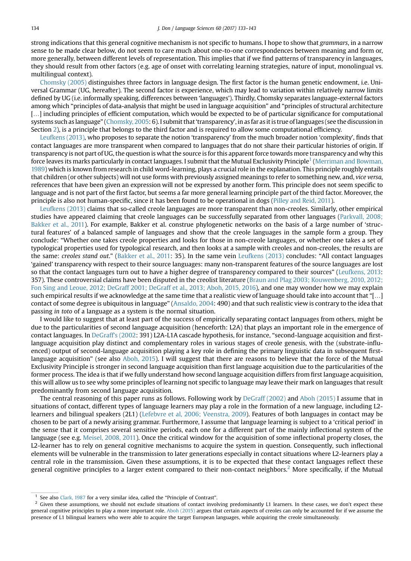strong indications that this general cognitive mechanism is not specific to humans. I hope to show that grammars, in a narrow sense to be made clear below, do not seem to care much about one-to-one correspondences between meaning and form or, more generally, between different levels of representation. This implies that if we find patterns of transparency in languages, they should result from other factors (e.g. age of onset with correlating learning strategies, nature of input, monolingual vs. multilingual context).

[Chomsky \(2005\)](#page-11-0) distinguishes three factors in language design. The first factor is the human genetic endowment, i.e. Universal Grammar (UG, hereafter). The second factor is experience, which may lead to variation within relatively narrow limits defined by UG (i.e. informally speaking, differences between 'languages'). Thirdly, Chomsky separates language-external factors among which "principles of data-analysis that might be used in language acquisition" and "principles of structural architecture [...] including principles of efficient computation, which would be expected to be of particular significance for computational systems such as language" [\(Chomsky, 2005](#page-11-0); 6). I submit that 'transparency', in as far as it is true of languages (see the discussion in Section [2](#page-3-0)), is a principle that belongs to the third factor and is required to allow some computational efficiency.

[Leufkens \(2013\),](#page-11-0) who proposes to separate the notion 'transparency' from the much broader notion 'complexity', finds that contact languages are more transparent when compared to languages that do not share their particular histories of origin. If transparency is not part of UG, the question is what the source is for this apparent force towards more transparency and why this force leaves its marks particularly in contact languages. I submit that the Mutual Exclusivity Principle<sup>1</sup> ([Merriman and Bowman,](#page-11-0) [1989](#page-11-0)) which is known from research in child word-learning, plays a crucial role in the explanation. This principle roughly entails that children (or other subjects) will not use forms with previously assigned meanings to refer to something new, and, vice versa, references that have been given an expression will not be expressed by another form. This principle does not seem specific to language and is not part of the first factor, but seems a far more general learning principle part of the third factor. Moreover, the principle is also not human-specific, since it has been found to be operational in dogs [\(Pilley and Reid, 2011\)](#page-11-0).

[Leufkens \(2013\)](#page-11-0) claims that so-called creole languages are more transparent than non-creoles. Similarly, other empirical studies have appeared claiming that creole languages can be successfully separated from other languages ([Parkvall, 2008;](#page-11-0) [Bakker et al., 2011](#page-11-0)). For example, Bakker et al. construe phylogenetic networks on the basis of a large number of 'structural features' of a balanced sample of languages and show that the creole languages in the sample form a group. They conclude: "Whether one takes creole properties and looks for those in non-creole languages, or whether one takes a set of typological properties used for typological research, and then looks at a sample with creoles and non-creoles, the results are the same: creoles stand out." ([Bakker et al., 2011:](#page-10-0) 35). In the same vein [Leufkens \(2013\)](#page-11-0) concludes: "All contact languages 'gained' transparency with respect to their source languages: many non-transparent features of the source languages are lost so that the contact languages turn out to have a higher degree of transparency compared to their sources" ([Leufkens, 2013:](#page-11-0) 357). These controversial claims have been disputed in the creolist literature [\(Braun and Plag 2003; Kouwenberg, 2010, 2012;](#page-11-0) [Fon Sing and Leoue, 2012; DeGraff 2001; DeGraff et al., 2013; Aboh, 2015, 2016\)](#page-11-0), and one may wonder how we may explain such empirical results if we acknowledge at the same time that a realistic view of language should take into account that "[ $\dots$ ] contact of some degree is ubiquitous in language" ([Ansaldo, 2004](#page-10-0): 490) and that such realistic view is contrary to the idea that passing in toto of a language as a system is the normal situation.

I would like to suggest that at least part of the success of empirically separating contact languages from others, might be due to the particularities of second language acquisition (henceforth: L2A) that plays an important role in the emergence of contact languages. In [DeGraff](#page-11-0)'s (2002: 391) L2A-L1A cascade hypothesis, for instance, "second-language acquisition and firstlanguage acquisition play distinct and complementary roles in various stages of creole genesis, with the (substrate-influenced) output of second-language acquisition playing a key role in defining the primary linguistic data in subsequent firstlanguage acquisition" (see also [Aboh, 2015\)](#page-10-0). I will suggest that there are reasons to believe that the force of the Mutual Exclusivity Principle is stronger in second language acquisition than first language acquisition due to the particularities of the former process. The idea is that if we fully understand how second language acquisition differs from first language acquisition, this will allow us to see why some principles of learning not specific to language may leave their mark on languages that result predominantly from second language acquisition.

The central reasoning of this paper runs as follows. Following work by [DeGraff \(2002\)](#page-11-0) and [Aboh \(2015\)](#page-10-0) I assume that in situations of contact, different types of language learners may play a role in the formation of a new language, including L2 learners and bilingual speakers (2L1) [\(Lefebvre et al, 2006; Veenstra, 2009](#page-11-0)). Features of both languages in contact may be chosen to be part of a newly arising grammar. Furthermore, I assume that language learning is subject to a 'critical period' in the sense that it comprises several sensitive periods, each one for a different part of the mainly inflectional system of the language (see e.g. [Meisel, 2008, 2011](#page-11-0)). Once the critical window for the acquisition of some inflectional property closes, the L2-learner has to rely on general cognitive mechanisms to acquire the system in question. Consequently, such inflectional elements will be vulnerable in the transmission to later generations especially in contact situations where L2-learners play a central role in the transmission. Given these assumptions, it is to be expected that these contact languages reflect these general cognitive principles to a larger extent compared to their non-contact neighbors.<sup>2</sup> More specifically, if the Mutual

See also [Clark, 1987](#page-11-0) for a very similar idea, called the "Principle of Contrast".

 $2$  Given these assumptions, we should not exclude situations of contact involving predominantly L1 learners. In these cases, we don't expect these general cognitive principles to play a more important role. [Aboh \(2015\)](#page-10-0) argues that certain aspects of creoles can only be accounted for if we assume the presence of L1 bilingual learners who were able to acquire the target European languages, while acquiring the creole simultaneously.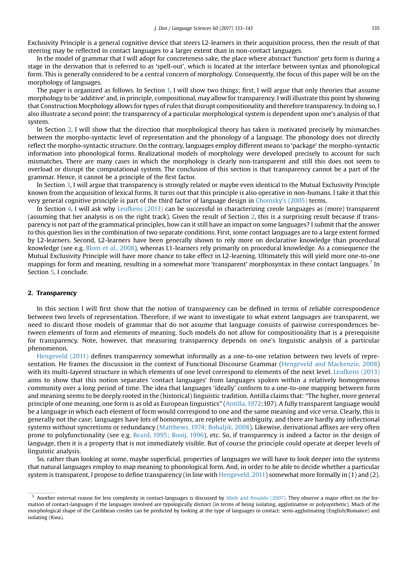<span id="page-3-0"></span>Exclusivity Principle is a general cognitive device that steers L2-learners in their acquisition process, then the result of that steering may be reflected in contact languages to a larger extent than in non-contact languages.

In the model of grammar that I will adopt for concreteness sake, the place where abstract 'function' gets form is during a stage in the derivation that is referred to as 'spell-out', which is located at the interface between syntax and phonological form. This is generally considered to be a central concern of morphology. Consequently, the focus of this paper will be on the morphology of languages.

The paper is organized as follows. In Section [1,](#page-1-0) I will show two things; first, I will argue that only theories that assume morphology to be 'additive' and, in principle, compositional, may allow for transparency. I will illustrate this point by showing that Construction Morphology allows for types of rules that disrupt compositionality and therefore transparency. In doing so, I also illustrate a second point: the transparency of a particular morphological system is dependent upon one's analysis of that system.

In Section 2, I will show that the direction that morphological theory has taken is motivated precisely by mismatches between the morpho-syntactic level of representation and the phonology of a language. The phonology does not directly reflect the morpho-syntactic structure. On the contrary, languages employ different means to 'package' the morpho-syntactic information into phonological forms. Realizational models of morphology were developed precisely to account for such mismatches. There are many cases in which the morphology is clearly non-transparent and still this does not seem to overload or disrupt the computational system. The conclusion of this section is that transparency cannot be a part of the grammar. Hence, it cannot be a principle of the first factor.

In Section [3](#page-5-0), I will argue that transparency is strongly related or maybe even identical to the Mutual Exclusivity Principle known from the acquisition of lexical forms. It turns out that this principle is also operative in non-humans. I take it that this very general cognitive principle is part of the third factor of language design in [Chomsky](#page-11-0)'s (2005) terms.

In Section [4](#page-8-0), I will ask why [Leufkens \(2013\)](#page-11-0) can be successful in characterizing creole languages as (more) transparent (assuming that her analysis is on the right track). Given the result of Section 2, this is a surprising result because if transparency is not part of the grammatical principles, how can it still have an impact on some languages? I submit that the answer to this question lies in the combination of two separate conditions. First, some contact languages are to a large extent formed by L2-learners. Second, L2-learners have been generally shown to rely more on declarative knowledge than procedural knowledge (see e.g. [Blom et al., 2008](#page-10-0)), whereas L1-learners rely primarily on procedural knowledge. As a consequence the Mutual Exclusivity Principle will have more chance to take effect in L2-learning. Ultimately this will yield more one-to-one mappings for form and meaning, resulting in a somewhat more 'transparent' morphosyntax in these contact languages.<sup>3</sup> In Section [5,](#page-8-0) I conclude.

## 2. Transparency

In this section I will first show that the notion of transparency can be defined in terms of reliable correspondence between two levels of representation. Therefore, if we want to investigate to what extent languages are transparent, we need to discard those models of grammar that do not assume that language consists of pairwise correspondences between elements of form and elements of meaning. Such models do not allow for compositionality that is a prerequisite for transparency. Note, however, that measuring transparency depends on one's linguistic analysis of a particular phenomenon.

[Hengeveld \(2011\)](#page-11-0) defines transparency somewhat informally as a one-to-one relation between two levels of representation. He frames the discussion in the context of Functional Discourse Grammar [\(Hengeveld and Mackenzie, 2008](#page-11-0)) with its multi-layered structure in which elements of one level correspond to elements of the next level. [Leufkens \(2013\)](#page-11-0) aims to show that this notion separates 'contact languages' from languages spoken within a relatively homogeneous community over a long period of time. The idea that languages 'ideally' conform to a one-to-one mapping between form and meaning seems to be deeply rooted in the (historical) linguistic tradition. Antilla claims that: "The higher, more general principle of one meaning, one form is as old as European linguistics" [\(Antilla, 1972](#page-10-0):107). A fully transparent language would be a language in which each element of form would correspond to one and the same meaning and vice versa. Clearly, this is generally not the case; languages have lots of homonyms, are replete with ambiguity, and there are hardly any inflectional systems without syncretisms or redundancy [\(Matthews, 1974; Bobaljik, 2008\)](#page-11-0). Likewise, derivational affixes are very often prone to polyfunctionality (see e.g. [Beard, 1995; Booij, 1996](#page-10-0)), etc. So, if transparency is indeed a factor in the design of language, then it is a property that is not immediately visible. But of course the principle could operate at deeper levels of linguistic analysis.

So, rather than looking at some, maybe superficial, properties of languages we will have to look deeper into the systems that natural languages employ to map meaning to phonological form. And, in order to be able to decide whether a particular system is transparent, I propose to define transparency (in line with [Hengeveld, 2011\)](#page-11-0) somewhat more formally in (1) and (2).

<sup>&</sup>lt;sup>3</sup> Another external reason for less complexity in contact-languages is discussed by [Aboh and Ansaldo \(2007\)](#page-10-0). They observe a major effect on the formation of contact-languages if the languages involved are typologically distinct (in terms of being isolating, agglutinative or polysynthetic). Much of the morphological shape of the Caribbean creoles can be predicted by looking at the type of languages in contact: semi-agglutinating (English/Romance) and isolating (Kwa).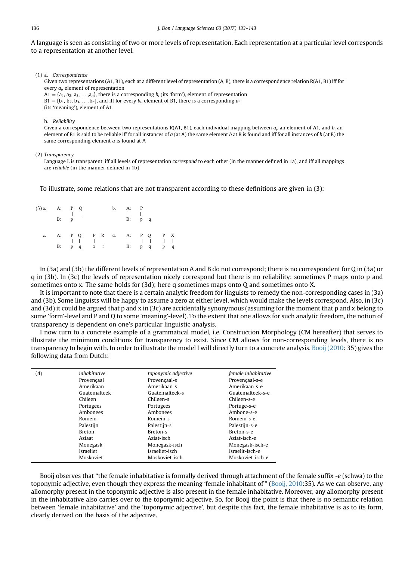A language is seen as consisting of two or more levels of representation. Each representation at a particular level corresponds to a representation at another level.

(1) a. Correspondence

Given two representations (A1, B1), each at a different level of representation (A, B), there is a correspondence relation R(A1, B1) iff for every  $a_i$ , element of representation

 $A1 = \{a_1, a_2, a_3, \ldots, a_n\}$ , there is a corresponding  $b_i$  (its 'form'), element of representation

 $B1 = \{b_1, b_2, b_3, \ldots, b_n\}$ , and iff for every  $b_i$ , element of B1, there is a corresponding  $a_i$ 

(its 'meaning'), element of A1

#### b. Reliability

Given a correspondence between two representations R(A1, B1), each individual mapping between  $a_i$ , an element of A1, and  $b_i$  an element of B1 is said to be reliable iff for all instances of  $a$  (at A) the same element b at B is found and iff for all instances of b (at B) the same corresponding element a is found at A

### (2) Transparency

Language L is transparent, iff all levels of representation *correspond* to each other (in the manner defined in 1a), and iff all mappings are reliable (in the manner defined in 1b)

To illustrate, some relations that are not transparent according to these definitions are given in (3):

|  | $(3)$ a. A: P Q                                                                                                                                                                                                                                                                      |  | b. A: P                       |        |  |
|--|--------------------------------------------------------------------------------------------------------------------------------------------------------------------------------------------------------------------------------------------------------------------------------------|--|-------------------------------|--------|--|
|  | the control of the control of<br>B: p                                                                                                                                                                                                                                                |  | the control of the control of | B: p q |  |
|  |                                                                                                                                                                                                                                                                                      |  |                               |        |  |
|  | c. A: P Q P R d. A: P Q P X                                                                                                                                                                                                                                                          |  |                               |        |  |
|  | $\sim$ 11 $\sim$ 11 $\sim$ 12 $\sim$ 12 $\sim$ 12 $\sim$ 12 $\sim$ 12 $\sim$ 12 $\sim$ 12 $\sim$ 12 $\sim$ 12 $\sim$ 12 $\sim$ 12 $\sim$ 12 $\sim$ 12 $\sim$ 12 $\sim$ 12 $\sim$ 12 $\sim$ 12 $\sim$ 12 $\sim$ 12 $\sim$ 12 $\sim$ 12 $\sim$ 12 $\sim$ 12 $\sim$ 12 $\sim$ 12 $\sim$ |  |                               |        |  |
|  | B: pq x r B: pq pq                                                                                                                                                                                                                                                                   |  |                               |        |  |

In (3a) and (3b) the different levels of representation A and B do not correspond; there is no correspondent for Q in (3a) or q in (3b). In (3c) the levels of representation nicely correspond but there is no reliability: sometimes P maps onto p and sometimes onto x. The same holds for (3d); here q sometimes maps onto Q and sometimes onto X.

It is important to note that there is a certain analytic freedom for linguists to remedy the non-corresponding cases in (3a) and (3b). Some linguists will be happy to assume a zero at either level, which would make the levels correspond. Also, in (3c) and (3d) it could be argued that p and x in (3c) are accidentally synonymous (assuming for the moment that p and x belong to some 'form'-level and P and Q to some 'meaning'-level). To the extent that one allows for such analytic freedom, the notion of transparency is dependent on one's particular linguistic analysis.

I now turn to a concrete example of a grammatical model, i.e. Construction Morphology (CM hereafter) that serves to illustrate the minimum conditions for transparency to exist. Since CM allows for non-corresponding levels, there is no transparency to begin with. In order to illustrate the model I will directly turn to a concrete analysis. [Booij \(2010](#page-11-0): 35) gives the following data from Dutch:

| (4) | inhabitative | toponymic adjective | female inhabitative |
|-----|--------------|---------------------|---------------------|
|     | Provençaal   | Provencaal-s        | Provençaal-s-e      |
|     | Amerikaan    | Amerikaan-s         | Amerikaan-s-e       |
|     | Guatemalteek | Guatemalteek-s      | Guatemalteek-s-e    |
|     | Chileen      | Chileen-s           | Chileen-s-e         |
|     | Portugees    | Portugees           | Portuge-s-e         |
|     | Ambonees     | Ambonees            | Ambone-s-e          |
|     | Romein       | Romein-s            | Romein-s-e          |
|     | Palestijn    | Palestijn-s         | Palestijn-s-e       |
|     | Breton       | Breton-s            | Breton-s-e          |
|     | Aziaat       | Aziat-isch          | Aziat-isch-e        |
|     | Monegask     | Monegask-isch       | Monegask-isch-e     |
|     | Israeliet    | Israeliet-isch      | Israelit-isch-e     |
|     | Moskoviet    | Moskoviet-isch      | Moskoviet-isch-e    |
|     |              |                     |                     |

Booij observes that "the female inhabitative is formally derived through attachment of the female suffix  $-e$  (schwa) to the toponymic adjective, even though they express the meaning 'female inhabitant of'" ([Booij, 2010:](#page-11-0)35). As we can observe, any allomorphy present in the toponymic adjective is also present in the female inhabitative. Moreover, any allomorphy present in the inhabitative also carries over to the toponymic adjective. So, for Booij the point is that there is no semantic relation between 'female inhabitative' and the 'toponymic adjective', but despite this fact, the female inhabitative is as to its form, clearly derived on the basis of the adjective.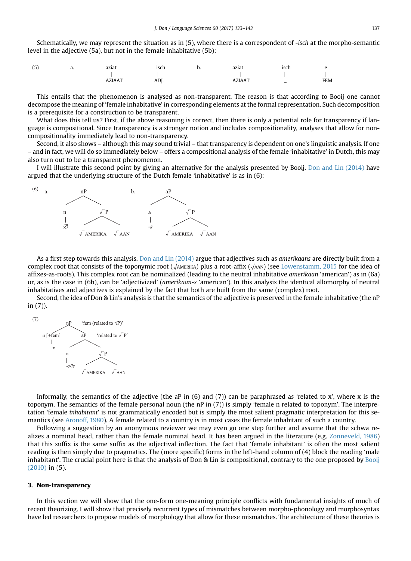<span id="page-5-0"></span>Schematically, we may represent the situation as in (5), where there is a correspondent of -isch at the morpho-semantic level in the adjective (5a), but not in the female inhabitative (5b):

| (5) | d. | aziat                                      | iceb<br>$-15C11$ | U. | aziat<br>-   | isch   |     |
|-----|----|--------------------------------------------|------------------|----|--------------|--------|-----|
|     |    |                                            |                  |    |              |        |     |
|     |    | <b>7144T</b><br>$'$ . Let $\bm{\mu}$ . Let | ADI.             |    | <b>ZIAAT</b> | $\sim$ | FEM |

This entails that the phenomenon is analysed as non-transparent. The reason is that according to Booij one cannot decompose the meaning of 'female inhabitative' in corresponding elements at the formal representation. Such decomposition is a prerequisite for a construction to be transparent.

What does this tell us? First, if the above reasoning is correct, then there is only a potential role for transparency if language is compositional. Since transparency is a stronger notion and includes compositionality, analyses that allow for noncompositionality immediately lead to non-transparency.

Second, it also shows – although this may sound trivial – that transparency is dependent on one's linguistic analysis. If one – and in fact, we will do so immediately below – offers a compositional analysis of the female 'inhabitative' in Dutch, this may also turn out to be a transparent phenomenon.

I will illustrate this second point by giving an alternative for the analysis presented by Booij. [Don and Lin \(2014\)](#page-11-0) have argued that the underlying structure of the Dutch female 'inhabitative' is as in (6):



As a first step towards this analysis, [Don and Lin \(2014\)](#page-11-0) argue that adjectives such as amerikaans are directly built from a complex root that consists of the toponymic root  $(\sqrt{AMERIKA})$  plus a root-affix  $(\sqrt{AAN})$  (see [Lowenstamm, 2015](#page-11-0) for the idea of affixes-as-roots). This complex root can be nominalized (leading to the neutral inhabitative amerikaan 'american') as in (6a) or, as is the case in (6b), can be 'adjectivized' (amerikaan-s 'american'). In this analysis the identical allomorphy of neutral inhabitatives and adjectives is explained by the fact that both are built from the same (complex) root.

Second, the idea of Don & Lin's analysis is that the semantics of the adjective is preserved in the female inhabitative (the nP in (7)).



Informally, the semantics of the adjective (the aP in  $(6)$  and  $(7)$ ) can be paraphrased as 'related to x', where x is the toponym. The semantics of the female personal noun (the nP in (7)) is simply 'female n related to toponym'. The interpretation 'female inhabitant' is not grammatically encoded but is simply the most salient pragmatic interpretation for this semantics (see [Aronoff, 1980](#page-10-0)). A female related to a country is in most cases the female inhabitant of such a country.

Following a suggestion by an anonymous reviewer we may even go one step further and assume that the schwa realizes a nominal head, rather than the female nominal head. It has been argued in the literature (e.g. [Zonneveld, 1986](#page-11-0)) that this suffix is the same suffix as the adjectival inflection. The fact that 'female inhabitant' is often the most salient reading is then simply due to pragmatics. The (more specific) forms in the left-hand column of (4) block the reading 'male inhabitant'. The crucial point here is that the analysis of Don & Lin is compositional, contrary to the one proposed by [Booij](#page-11-0) [\(2010\)](#page-11-0) in (5).

#### 3. Non-transparency

In this section we will show that the one-form one-meaning principle conflicts with fundamental insights of much of recent theorizing. I will show that precisely recurrent types of mismatches between morpho-phonology and morphosyntax have led researchers to propose models of morphology that allow for these mismatches. The architecture of these theories is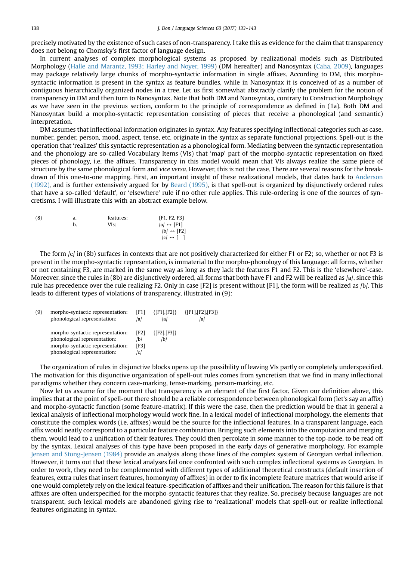precisely motivated by the existence of such cases of non-transparency. I take this as evidence for the claim that transparency does not belong to Chomsky's first factor of language design.

In current analyses of complex morphological systems as proposed by realizational models such as Distributed Morphology ([Halle and Marantz, 1993; Harley and Noyer, 1999](#page-11-0)) (DM hereafter) and Nanosyntax [\(Caha, 2009\)](#page-11-0), languages may package relatively large chunks of morpho-syntactic information in single affixes. According to DM, this morphosyntactic information is present in the syntax as feature bundles, while in Nanosyntax it is conceived of as a number of contiguous hierarchically organized nodes in a tree. Let us first somewhat abstractly clarify the problem for the notion of transparency in DM and then turn to Nanosyntax. Note that both DM and Nanosyntax, contrary to Construction Morphology as we have seen in the previous section, conform to the principle of correspondence as defined in (1a). Both DM and Nanosyntax build a morpho-syntactic representation consisting of pieces that receive a phonological (and semantic) interpretation.

DM assumes that inflectional information originates in syntax. Any features specifying inflectional categories such as case, number, gender, person, mood, aspect, tense, etc. originate in the syntax as separate functional projections. Spell-out is the operation that 'realizes' this syntactic representation as a phonological form. Mediating between the syntactic representation and the phonology are so-called Vocabulary Items (VIs) that 'map' part of the morpho-syntactic representation on fixed pieces of phonology, i.e. the affixes. Transparency in this model would mean that VIs always realize the same piece of structure by the same phonological form and vice versa. However, this is not the case. There are several reasons for the breakdown of this one-to-one mapping. First, an important insight of these realizational models, that dates back to [Anderson](#page-10-0) [\(1992\),](#page-10-0) and is further extensively argued for by [Beard \(1995\)](#page-10-0), is that spell-out is organized by disjunctively ordered rules that have a so-called 'default', or 'elsewhere' rule if no other rule applies. This rule-ordering is one of the sources of syncretisms. I will illustrate this with an abstract example below.

| (8) | a. | features: | ${F1, F2, F3}$             |
|-----|----|-----------|----------------------------|
|     |    | VIs:      | $ a  \leftrightarrow  F1 $ |
|     |    |           | $ b  \leftrightarrow [F2]$ |
|     |    |           | $ c  \leftrightarrow [$    |

The form /c/ in (8b) surfaces in contexts that are not positively characterized for either F1 or F2; so, whether or not F3 is present in the morpho-syntactic representation, is immaterial to the morpho-phonology of this language: all forms, whether or not containing F3, are marked in the same way as long as they lack the features F1 and F2. This is the 'elsewhere'-case. Moreover, since the rules in (8b) are disjunctively ordered, all forms that both have F1 and F2 will be realized as  $|a|$ , since this rule has precedence over the rule realizing F2. Only in case [F2] is present without [F1], the form will be realized as /b/. This leads to different types of violations of transparency, illustrated in (9):

| (9) | morpho-syntactic representation:                                                                                                     | [F1]                      | ${F1, [F2]}$             | ${[F1],[F2],[F3]}$ |
|-----|--------------------------------------------------------------------------------------------------------------------------------------|---------------------------|--------------------------|--------------------|
|     | phonological representation:                                                                                                         | /a/                       | /a/                      | /a/                |
|     | morpho-syntactic representation:<br>phonological representation:<br>morpho-syntactic representation:<br>phonological representation: | [F2]<br>/b<br>[F3]<br>lcl | $\{ [F2], [F3] \}$<br>IЫ |                    |

The organization of rules in disjunctive blocks opens up the possibility of leaving VIs partly or completely underspecified. The motivation for this disjunctive organization of spell-out rules comes from syncretism that we find in many inflectional paradigms whether they concern case-marking, tense-marking, person-marking, etc.

Now let us assume for the moment that transparency is an element of the first factor. Given our definition above, this implies that at the point of spell-out there should be a reliable correspondence between phonological form (let's say an affix) and morpho-syntactic function (some feature-matrix). If this were the case, then the prediction would be that in general a lexical analysis of inflectional morphology would work fine. In a lexical model of inflectional morphology, the elements that constitute the complex words (i.e. affixes) would be the source for the inflectional features. In a transparent language, each affix would neatly correspond to a particular feature combination. Bringing such elements into the computation and merging them, would lead to a unification of their features. They could then percolate in some manner to the top-node, to be read off by the syntax. Lexical analyses of this type have been proposed in the early days of generative morphology. For example [Jensen and Stong-Jensen \(1984\)](#page-11-0) provide an analysis along those lines of the complex system of Georgian verbal inflection. However, it turns out that these lexical analyses fail once confronted with such complex inflectional systems as Georgian. In order to work, they need to be complemented with different types of additional theoretical constructs (default insertion of features, extra rules that insert features, homonymy of affixes) in order to fix incomplete feature matrices that would arise if one would completely rely on the lexical feature-specification of affixes and their unification. The reason for this failure is that affixes are often underspecified for the morpho-syntactic features that they realize. So, precisely because languages are not transparent, such lexical models are abandoned giving rise to 'realizational' models that spell-out or realize inflectional features originating in syntax.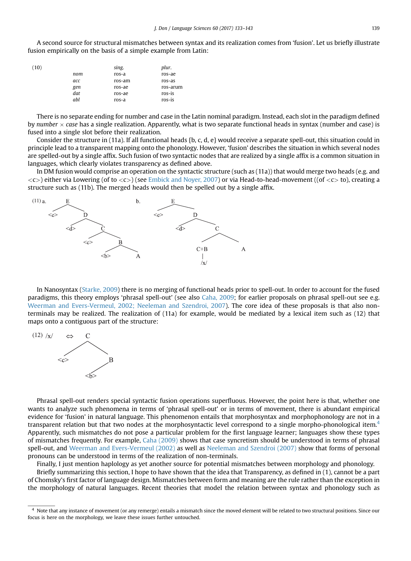A second source for structural mismatches between syntax and its realization comes from 'fusion'. Let us briefly illustrate fusion empirically on the basis of a simple example from Latin:

| (10)<br>sing. | plur.    |
|---------------|----------|
| ros-a<br>nom  | ros-ae   |
| ros-am<br>acc | ros-as   |
| ros-ae<br>gen | ros-arum |
| dat<br>ros-ae | ros-is   |
| abl<br>ros-a  | ros-is   |

There is no separate ending for number and case in the Latin nominal paradigm. Instead, each slot in the paradigm defined by number  $\times$  case has a single realization. Apparently, what is two separate functional heads in syntax (number and case) is fused into a single slot before their realization.

Consider the structure in (11a). If all functional heads {b, c, d, e} would receive a separate spell-out, this situation could in principle lead to a transparent mapping onto the phonology. However, 'fusion' describes the situation in which several nodes are spelled-out by a single affix. Such fusion of two syntactic nodes that are realized by a single affix is a common situation in languages, which clearly violates transparency as defined above.

In DM fusion would comprise an operation on the syntactic structure (such as (11a)) that would merge two heads (e.g. and  $\langle \langle \rangle$ ) either via Lowering (of to  $\langle \langle \rangle$ ) (see [Embick and Noyer, 2007\)](#page-11-0) or via Head-to-head-movement ((of  $\langle \rangle$ ), creating a structure such as (11b). The merged heads would then be spelled out by a single affix.



In Nanosyntax ([Starke, 2009\)](#page-11-0) there is no merging of functional heads prior to spell-out. In order to account for the fused paradigms, this theory employs 'phrasal spell-out' (see also [Caha, 2009;](#page-11-0) for earlier proposals on phrasal spell-out see e.g. [Weerman and Evers-Vermeul, 2002; Neeleman and Szendroi, 2007\)](#page-11-0). The core idea of these proposals is that also nonterminals may be realized. The realization of (11a) for example, would be mediated by a lexical item such as (12) that maps onto a contiguous part of the structure:



Phrasal spell-out renders special syntactic fusion operations superfluous. However, the point here is that, whether one wants to analyze such phenomena in terms of 'phrasal spell-out' or in terms of movement, there is abundant empirical evidence for 'fusion' in natural language. This phenomenon entails that morphosyntax and morphophonology are not in a transparent relation but that two nodes at the morphosyntactic level correspond to a single morpho-phonological item.<sup>4</sup> Apparently, such mismatches do not pose a particular problem for the first language learner; languages show these types of mismatches frequently. For example, [Caha \(2009\)](#page-11-0) shows that case syncretism should be understood in terms of phrasal spell-out, and [Weerman and Evers-Vermeul \(2002\)](#page-11-0) as well as [Neeleman and Szendroi \(2007\)](#page-11-0) show that forms of personal pronouns can be understood in terms of the realization of non-terminals.

Finally, I just mention haplology as yet another source for potential mismatches between morphology and phonology.

Briefly summarizing this section, I hope to have shown that the idea that Transparency, as defined in (1), cannot be a part of Chomsky's first factor of language design. Mismatches between form and meaning are the rule rather than the exception in the morphology of natural languages. Recent theories that model the relation between syntax and phonology such as

<sup>4</sup> Note that any instance of movement (or any remerge) entails a mismatch since the moved element will be related to two structural positions. Since our focus is here on the morphology, we leave these issues further untouched.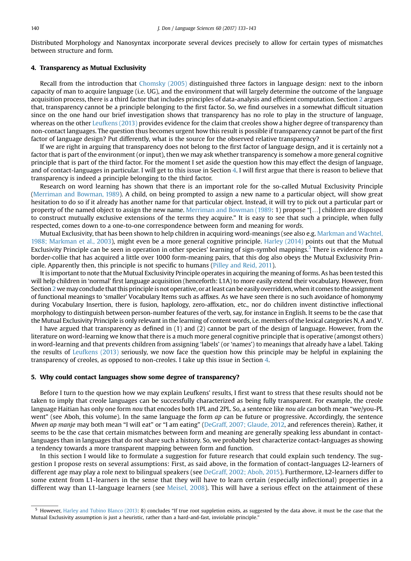<span id="page-8-0"></span>Distributed Morphology and Nanosyntax incorporate several devices precisely to allow for certain types of mismatches between structure and form.

## 4. Transparency as Mutual Exclusivity

Recall from the introduction that [Chomsky \(2005\)](#page-11-0) distinguished three factors in language design: next to the inborn capacity of man to acquire language (i.e. UG), and the environment that will largely determine the outcome of the language acquisition process, there is a third factor that includes principles of data-analysis and efficient computation. Section [2](#page-3-0) argues that, transparency cannot be a principle belonging to the first factor. So, we find ourselves in a somewhat difficult situation since on the one hand our brief investigation shows that transparency has no role to play in the structure of language, whereas on the other [Leufkens \(2013\)](#page-11-0) provides evidence for the claim that creoles show a higher degree of transparency than non-contact languages. The question thus becomes urgent how this result is possible if transparency cannot be part of the first factor of language design? Put differently, what is the source for the observed relative transparency?

If we are right in arguing that transparency does not belong to the first factor of language design, and it is certainly not a factor that is part of the environment (or input), then we may ask whether transparency is somehow a more general cognitive principle that is part of the third factor. For the moment I set aside the question how this may effect the design of language, and of contact-languages in particular. I will get to this issue in Section 4. I will first argue that there is reason to believe that transparency is indeed a principle belonging to the third factor.

Research on word learning has shown that there is an important role for the so-called Mutual Exclusivity Principle [\(Merriman and Bowman, 1989](#page-11-0)). A child, on being prompted to assign a new name to a particular object, will show great hesitation to do so if it already has another name for that particular object. Instead, it will try to pick out a particular part or property of the named object to assign the new name. [Merriman and Bowman \(1989:](#page-11-0) 1) propose "[...] children are disposed to construct mutually exclusive extensions of the terms they acquire." It is easy to see that such a principle, when fully respected, comes down to a one-to-one correspondence between form and meaning for words.

Mutual Exclusivity, that has been shown to help children in acquiring word-meanings (see also e.g. [Markman and Wachtel,](#page-11-0) [1988; Markman et al., 2003\)](#page-11-0), might even be a more general cognitive principle. [Harley \(2014\)](#page-11-0) points out that the Mutual Exclusivity Principle can be seen in operation in other species' learning of sign-symbol mappings.<sup>5</sup> There is evidence from a border-collie that has acquired a little over 1000 form-meaning pairs, that this dog also obeys the Mutual Exclusivity Principle. Apparently then, this principle is not specific to humans [\(Pilley and Reid, 2011\)](#page-11-0).

It is important to note that the Mutual Exclusivity Principle operates in acquiring the meaning of forms. As has been tested this will help children in 'normal' first language acquisition (henceforth: L1A) to more easily extend their vocabulary. However, from Section [2](#page-3-0) we may conclude that this principle is not operative, or at least can be easily overridden, when it comes to the assignment of functional meanings to 'smaller' Vocabulary Items such as affixes. As we have seen there is no such avoidance of homonymy during Vocabulary Insertion, there is fusion, haplology, zero-affixation, etc., nor do children invent distinctive inflectional morphology to distinguish between person-number features of the verb, say, for instance in English. It seems to be the case that the Mutual Exclusivity Principle is only relevant in the learning of content words, i.e. members of the lexical categories N, A and V.

I have argued that transparency as defined in (1) and (2) cannot be part of the design of language. However, from the literature on word-learning we know that there is a much more general cognitive principle that is operative (amongst others) in word-learning and that prevents children from assigning 'labels' (or 'names') to meanings that already have a label. Taking the results of [Leufkens \(2013\)](#page-11-0) seriously, we now face the question how this principle may be helpful in explaining the transparency of creoles, as opposed to non-creoles. I take up this issue in Section 4.

### 5. Why could contact languages show some degree of transparency?

Before I turn to the question how we may explain Leufkens' results, I first want to stress that these results should not be taken to imply that creole languages can be successfully characterized as being fully transparent. For example, the creole language Haitian has only one form nou that encodes both 1PL and 2PL. So, a sentence like nou ale can both mean "we/you-PL went" (see Aboh, this volume). In the same language the form ap can be future or progressive. Accordingly, the sentence Mwen ap manje may both mean "I will eat" or "I am eating" ([DeGraff, 2007; Glaude, 2012,](#page-11-0) and references therein). Rather, it seems to be the case that certain mismatches between form and meaning are generally speaking less abundant in contactlanguages than in languages that do not share such a history. So, we probably best characterize contact-languages as showing a tendency towards a more transparent mapping between form and function.

In this section I would like to formulate a suggestion for future research that could explain such tendency. The suggestion I propose rests on several assumptions: First, as said above, in the formation of contact-languages L2-learners of different age may play a role next to bilingual speakers (see [DeGraff, 2002; Aboh, 2015\)](#page-11-0). Furthermore, L2-learners differ to some extent from L1-learners in the sense that they will have to learn certain (especially inflectional) properties in a different way than L1-language learners (see [Meisel, 2008\)](#page-11-0). This will have a serious effect on the attainment of these

<sup>5</sup> However, [Harley and Tubino Blanco \(2013](#page-11-0): 8) concludes "If true root suppletion exists, as suggested by the data above, it must be the case that the Mutual Exclusivity assumption is just a heuristic, rather than a hard-and-fast, inviolable principle."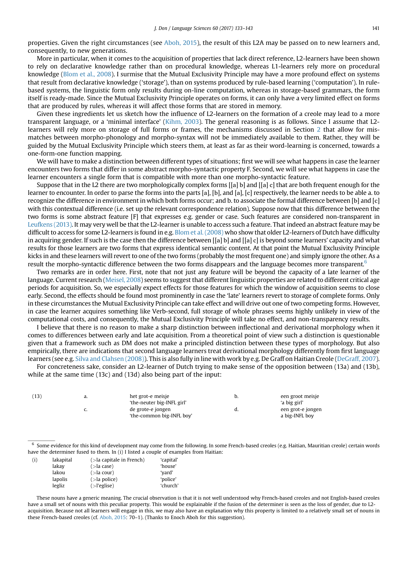properties. Given the right circumstances (see [Aboh, 2015\)](#page-10-0), the result of this L2A may be passed on to new learners and, consequently, to new generations.

More in particular, when it comes to the acquisition of properties that lack direct reference, L2-learners have been shown to rely on declarative knowledge rather than on procedural knowledge, whereas L1-learners rely more on procedural knowledge ([Blom et al., 2008\)](#page-10-0). I surmise that the Mutual Exclusivity Principle may have a more profound effect on systems that result from declarative knowledge ('storage'), than on systems produced by rule-based learning ('computation'). In rulebased systems, the linguistic form only results during on-line computation, whereas in storage-based grammars, the form itself is ready-made. Since the Mutual Exclusivity Principle operates on forms, it can only have a very limited effect on forms that are produced by rules, whereas it will affect those forms that are stored in memory.

Given these ingredients let us sketch how the influence of L2-learners on the formation of a creole may lead to a more transparent language, or a 'minimal interface' [\(Kihm, 2003\)](#page-11-0). The general reasoning is as follows. Since I assume that L2 learners will rely more on storage of full forms or frames, the mechanisms discussed in Section [2](#page-3-0) that allow for mismatches between morpho-phonology and morpho-syntax will not be immediately available to them. Rather, they will be guided by the Mutual Exclusivity Principle which steers them, at least as far as their word-learning is concerned, towards a one-form-one function mapping.

We will have to make a distinction between different types of situations; first we will see what happens in case the learner encounters two forms that differ in some abstract morpho-syntactic property F. Second, we will see what happens in case the learner encounters a single form that is compatible with more than one morpho-syntactic feature.

Suppose that in the L2 there are two morphologically complex forms [[a] b] and [[a] c] that are both frequent enough for the learner to encounter. In order to parse the forms into the parts [a], [b], and [a], [c] respectively, the learner needs to be able a. to recognize the difference in environment in which both forms occur; and b. to associate the formal difference between [b] and [c] with this contextual difference (i.e. set up the relevant correspondence relation). Suppose now that this difference between the two forms is some abstract feature [F] that expresses e.g. gender or case. Such features are considered non-transparent in [Leufkens \(2013\).](#page-11-0) It may very well be that the L2-learner is unable to access such a feature. That indeed an abstract feature may be difficult to access for some L2-learners is found in e.g. [Blom et al. \(2008\)](#page-10-0) who show that older L2-learners of Dutch have difficulty in acquiring gender. If such is the case then the difference between [[a] b] and [[a] c] is beyond some learners' capacity and what results for those learners are two forms that express identical semantic content. At that point the Mutual Exclusivity Principle kicks in and these learners will revert to one of the two forms (probably the most frequent one) and simply ignore the other. As a result the morpho-syntactic difference between the two forms disappears and the language becomes more transparent. $6$ 

Two remarks are in order here. First, note that not just any feature will be beyond the capacity of a late learner of the language. Current research ([Meisel, 2008](#page-11-0)) seems to suggest that different linguistic properties are related to different critical age periods for acquisition. So, we especially expect effects for those features for which the window of acquisition seems to close early. Second, the effects should be found most prominently in case the 'late' learners revert to storage of complete forms. Only in these circumstances the Mutual Exclusivity Principle can take effect and will drive out one of two competing forms. However, in case the learner acquires something like Verb-second, full storage of whole phrases seems highly unlikely in view of the computational costs, and consequently, the Mutual Exclusivity Principle will take no effect, and non-transparency results.

I believe that there is no reason to make a sharp distinction between inflectional and derivational morphology when it comes to differences between early and late acquisition. From a theoretical point of view such a distinction is questionable given that a framework such as DM does not make a principled distinction between these types of morphology. But also empirically, there are indications that second language learners treat derivational morphology differently from first language learners (see e.g. [Silva and Clahsen \(2008\)](#page-11-0)). This is also fully in line with work by e.g. De Graff on Haitian Creole ([DeGraff, 2007](#page-11-0)).

For concreteness sake, consider an L2-learner of Dutch trying to make sense of the opposition between (13a) and (13b), while at the same time (13c) and (13d) also being part of the input:

| (13) | d. | het grot-e meisje<br>'the-neuter big-INFL girl' | b. | een groot meisje<br>'a big girl'    |
|------|----|-------------------------------------------------|----|-------------------------------------|
|      |    | de grote-e jongen<br>'the-common big-INFL boy'  | α. | een grot-e jongen<br>a big-INFL boy |

 $<sup>6</sup>$  Some evidence for this kind of development may come from the following. In some French-based creoles (e.g. Haitian, Mauritian creole) certain words</sup> have the determiner fused to them. In (i) I listed a couple of examples from Haitian:

| lakapital | $($ >la capitale in French $)$ | 'capital' |
|-----------|--------------------------------|-----------|
| lakay     | $($ >la case)                  | 'house'   |
| lakou     | $($ >la cour $)$               | 'yard'    |
| lapolis   | $($ >la police)                | 'police'  |
| legliz    | $($ >l'eglise)                 | 'church'  |
|           |                                |           |

These nouns have a generic meaning. The crucial observation is that it is not well understood why French-based creoles and not English-based creoles have a small set of nouns with this peculiar property. This would be explainable if the fusion of the determiner is seen as the loss of gender, due to L2acquisition. Because not all learners will engage in this, we may also have an explanation why this property is limited to a relatively small set of nouns in these French-based creoles (cf. [Aboh, 2015:](#page-10-0) 70–1). (Thanks to Enoch Aboh for this suggestion).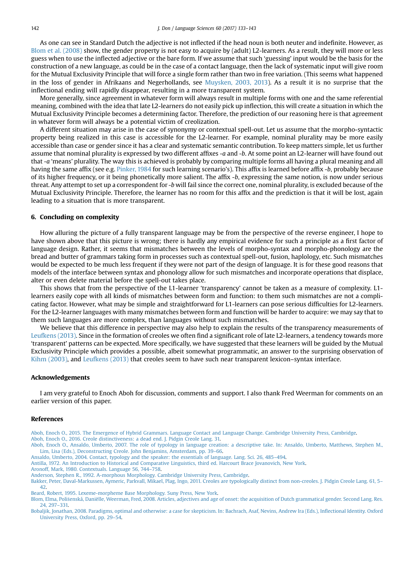<span id="page-10-0"></span>As one can see in Standard Dutch the adjective is not inflected if the head noun is both neuter and indefinite. However, as Blom et al. (2008) show, the gender property is not easy to acquire by (adult) L2-learners. As a result, they will more or less guess when to use the inflected adjective or the bare form. If we assume that such 'guessing' input would be the basis for the construction of a new language, as could be in the case of a contact language, then the lack of systematic input will give room for the Mutual Exclusivity Principle that will force a single form rather than two in free variation. (This seems what happened in the loss of gender in Afrikaans and Negerhollands, see [Muysken, 2003, 2013\)](#page-11-0). As a result it is no surprise that the inflectional ending will rapidly disappear, resulting in a more transparent system.

More generally, since agreement in whatever form will always result in multiple forms with one and the same referential meaning, combined with the idea that late L2-learners do not easily pick up inflection, this will create a situation in which the Mutual Exclusivity Principle becomes a determining factor. Therefore, the prediction of our reasoning here is that agreement in whatever form will always be a potential victim of creolization.

A different situation may arise in the case of synonymy or contextual spell-out. Let us assume that the morpho-syntactic property being realized in this case is accessible for the L2-learner. For example, nominal plurality may be more easily accessible than case or gender since it has a clear and systematic semantic contribution. To keep matters simple, let us further assume that nominal plurality is expressed by two different affixes -a and -b. At some point an L2-learner will have found out that -a 'means' plurality. The way this is achieved is probably by comparing multiple forms all having a plural meaning and all having the same affix (see e.g. [Pinker, 1984](#page-11-0) for such learning scenario's). This affix is learned before affix -b, probably because of its higher frequency, or it being phonetically more salient. The affix -b, expressing the same notion, is now under serious threat. Any attempt to set up a correspondent for -b will fail since the correct one, nominal plurality, is excluded because of the Mutual Exclusivity Principle. Therefore, the learner has no room for this affix and the prediction is that it will be lost, again leading to a situation that is more transparent.

### 6. Concluding on complexity

How alluring the picture of a fully transparent language may be from the perspective of the reverse engineer, I hope to have shown above that this picture is wrong; there is hardly any empirical evidence for such a principle as a first factor of language design. Rather, it seems that mismatches between the levels of morpho-syntax and morpho-phonology are the bread and butter of grammars taking form in processes such as contextual spell-out, fusion, haplology, etc. Such mismatches would be expected to be much less frequent if they were not part of the design of language. It is for these good reasons that models of the interface between syntax and phonology allow for such mismatches and incorporate operations that displace, alter or even delete material before the spell-out takes place.

This shows that from the perspective of the L1-learner 'transparency' cannot be taken as a measure of complexity. L1 learners easily cope with all kinds of mismatches between form and function: to them such mismatches are not a complicating factor. However, what may be simple and straightforward for L1-learners can pose serious difficulties for L2-learners. For the L2-learner languages with many mismatches between form and function will be harder to acquire: we may say that to them such languages are more complex, than languages without such mismatches.

We believe that this difference in perspective may also help to explain the results of the transparency measurements of [Leufkens \(2013\).](#page-11-0) Since in the formation of creoles we often find a significant role of late L2-learners, a tendency towards more 'transparent' patterns can be expected. More specifically, we have suggested that these learners will be guided by the Mutual Exclusivity Principle which provides a possible, albeit somewhat programmatic, an answer to the surprising observation of [Kihm \(2003\)](#page-11-0), and [Leufkens \(2013\)](#page-11-0) that creoles seem to have such near transparent lexicon–syntax interface.

### Acknowledgements

I am very grateful to Enoch Aboh for discussion, comments and support. I also thank Fred Weerman for comments on an earlier version of this paper.

### References

[Aboh, Enoch O., 2015. The Emergence of Hybrid Grammars. Language Contact and Language Change. Cambridge University Press, Cambridge.](http://refhub.elsevier.com/S0388-0001(17)30016-5/sref1)

[Aboh, Enoch O., 2016. Creole distinctiveness: a dead end. J. Pidgin Creole Lang. 31.](http://refhub.elsevier.com/S0388-0001(17)30016-5/sref2)

[Aboh, Enoch O., Ansaldo, Umberto, 2007. The role of typology in language creation: a descriptive take. In: Ansaldo, Umberto, Matthews, Stephen M.,](http://refhub.elsevier.com/S0388-0001(17)30016-5/sref3) [Lim, Lisa \(Eds.\), Deconstructing Creole. John Benjamins, Amsterdam, pp. 39](http://refhub.elsevier.com/S0388-0001(17)30016-5/sref3)–66.

[Ansaldo, Umberto, 2004. Contact, typology and the speaker: the essentials of language. Lang. Sci. 26, 485](http://refhub.elsevier.com/S0388-0001(17)30016-5/sref4)–494.

[Antilla, 1972. An Introduction to Historical and Comparative Linguistics, third ed. Harcourt Brace Jovanovich, New York](http://refhub.elsevier.com/S0388-0001(17)30016-5/sref5).

[Aronoff, Mark, 1980. Contextuals. Language 56, 744](http://refhub.elsevier.com/S0388-0001(17)30016-5/sref6)–758.

[Anderson, Stephen R., 1992. A-morphous Morphology. Cambridge University Press, Cambridge.](http://refhub.elsevier.com/S0388-0001(17)30016-5/sref7)

[Bakker, Peter, Daval-Markussen, Aymeric, Parkvall, Mikael, Plag, Ingo, 2011. Creoles are typologically distinct from non-creoles. J. Pidgin Creole Lang. 61, 5](http://refhub.elsevier.com/S0388-0001(17)30016-5/sref8)– [42.](http://refhub.elsevier.com/S0388-0001(17)30016-5/sref8)

[Beard, Robert, 1995. Lexeme-morpheme Base Morphology. Suny Press, New York.](http://refhub.elsevier.com/S0388-0001(17)30016-5/sref9)

[Blom, Elma, Poli](http://refhub.elsevier.com/S0388-0001(17)30016-5/sref10)[senská, Daniëlle, Weerman, Fred, 2008. Articles, adjectives and age of onset: the acquisition of Dutch grammatical gender. Second Lang. Res.](http://refhub.elsevier.com/S0388-0001(17)30016-5/sref10) [24, 297](http://refhub.elsevier.com/S0388-0001(17)30016-5/sref10)–331.

[Bobaljik, Jonathan, 2008. Paradigms, optimal and otherwise: a case for skepticism. In: Bachrach, Asaf, Nevins, Andrew Ira \(Eds.\), In](http://refhub.elsevier.com/S0388-0001(17)30016-5/sref11)flectional Identity. Oxford [University Press, Oxford, pp. 29](http://refhub.elsevier.com/S0388-0001(17)30016-5/sref11)–54.